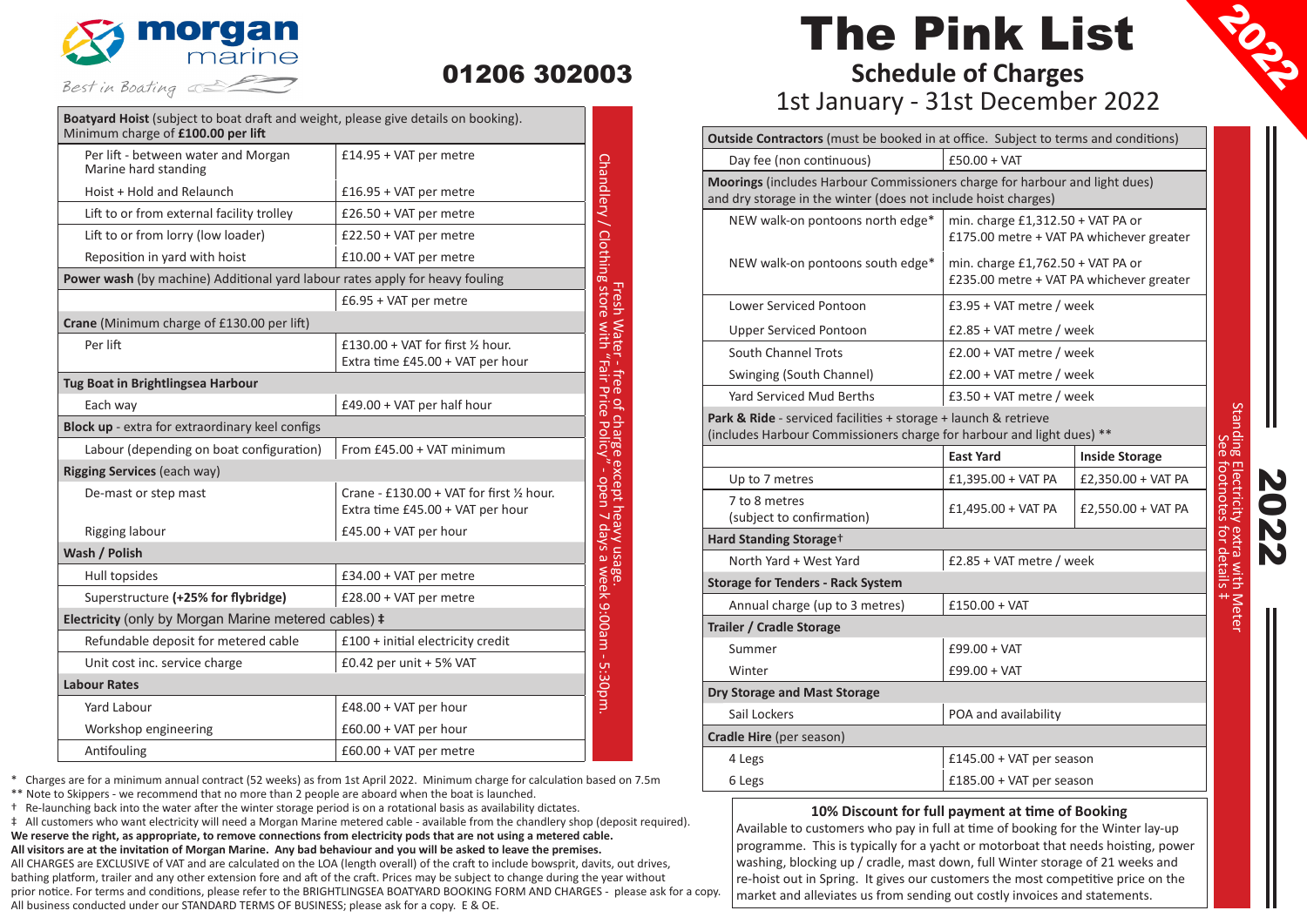

## 01206 302003

| Boatyard Hoist (subject to boat draft and weight, please give details on booking).<br>Minimum charge of £100.00 per lift |                                                                                         |  |
|--------------------------------------------------------------------------------------------------------------------------|-----------------------------------------------------------------------------------------|--|
| Per lift - between water and Morgan<br>Marine hard standing                                                              | £14.95 + VAT per metre                                                                  |  |
| Hoist + Hold and Relaunch                                                                                                | $£16.95 + VAT$ per metre                                                                |  |
| Lift to or from external facility trolley                                                                                | £26.50 + VAT per metre                                                                  |  |
| Lift to or from lorry (low loader)                                                                                       | £22.50 + VAT per metre                                                                  |  |
| Reposition in yard with hoist                                                                                            | £10.00 + VAT per metre                                                                  |  |
| Power wash (by machine) Additional yard labour rates apply for heavy fouling                                             |                                                                                         |  |
|                                                                                                                          | £6.95 + VAT per metre                                                                   |  |
| Crane (Minimum charge of £130.00 per lift)                                                                               |                                                                                         |  |
| Per lift                                                                                                                 | £130.00 + VAT for first $\frac{1}{2}$ hour.<br>Extra time £45.00 + VAT per hour         |  |
| Tug Boat in Brightlingsea Harbour                                                                                        |                                                                                         |  |
| Each way                                                                                                                 | £49.00 + VAT per half hour                                                              |  |
| Block up - extra for extraordinary keel configs                                                                          |                                                                                         |  |
| Labour (depending on boat configuration)                                                                                 | From £45.00 + VAT minimum                                                               |  |
| Rigging Services (each way)                                                                                              |                                                                                         |  |
| De-mast or step mast                                                                                                     | Crane - £130.00 + VAT for first $\frac{1}{2}$ hour.<br>Extra time £45.00 + VAT per hour |  |
| Rigging labour                                                                                                           | $£45.00 + VAT$ per hour                                                                 |  |
| Wash / Polish                                                                                                            |                                                                                         |  |
| Hull topsides                                                                                                            | £34.00 + VAT per metre                                                                  |  |
| Superstructure (+25% for flybridge)                                                                                      | £28.00 + VAT per metre                                                                  |  |
| Electricity (only by Morgan Marine metered cables) #                                                                     |                                                                                         |  |
| Refundable deposit for metered cable                                                                                     | £100 + initial electricity credit                                                       |  |
| Unit cost inc. service charge                                                                                            | £0.42 per unit $+5\%$ VAT                                                               |  |
| <b>Labour Rates</b>                                                                                                      |                                                                                         |  |
| Yard Labour                                                                                                              | $£48.00 + VAT$ per hour                                                                 |  |
| Workshop engineering                                                                                                     | $£60.00 + VAT$ per hour                                                                 |  |
| Antifouling                                                                                                              | £60.00 + VAT per metre                                                                  |  |

\* Charges are for a minimum annual contract (52 weeks) as from 1st April 2022. Minimum charge for calculation based on 7.5m

\*\* Note to Skippers - we recommend that no more than 2 people are aboard when the boat is launched.

All business conducted under our STANDARD TERMS OF BUSINESS; please ask for a copy. E & OE.

† Re-launching back into the water after the winter storage period is on a rotational basis as availability dictates.

‡ All customers who want electricity will need a Morgan Marine metered cable - available from the chandlery shop (deposit required). **We reserve the right, as appropriate, to remove connections from electricity pods that are not using a metered cable. All visitors are at the invitation of Morgan Marine. Any bad behaviour and you will be asked to leave the premises.** All CHARGES are EXCLUSIVE of VAT and are calculated on the LOA (length overall) of the craft to include bowsprit, davits, out drives, bathing platform, trailer and any other extension fore and aft of the craft. Prices may be subject to change during the year without prior notice. For terms and conditions, please refer to the BRIGHTLINGSEA BOATYARD BOOKING FORM AND CHARGES - please ask for a copy. The Pink List **Schedule of Charges**

1st January - 31st December 2022



| <b>Outside Contractors</b> (must be booked in at office. Subject to terms and conditions)                                                     |                                                                                 |                       |  |  |
|-----------------------------------------------------------------------------------------------------------------------------------------------|---------------------------------------------------------------------------------|-----------------------|--|--|
| Day fee (non continuous)                                                                                                                      | $£50.00 + VAT$                                                                  |                       |  |  |
| Moorings (includes Harbour Commissioners charge for harbour and light dues)<br>and dry storage in the winter (does not include hoist charges) |                                                                                 |                       |  |  |
| NEW walk-on pontoons north edge*                                                                                                              | min. charge £1,312.50 + VAT PA or<br>£175.00 metre + VAT PA whichever greater   |                       |  |  |
| NEW walk-on pontoons south edge*                                                                                                              | min. charge $£1,762.50 + VAT$ PA or<br>£235.00 metre + VAT PA whichever greater |                       |  |  |
| <b>Lower Serviced Pontoon</b>                                                                                                                 | £3.95 + VAT metre / week                                                        |                       |  |  |
| <b>Upper Serviced Pontoon</b>                                                                                                                 | £2.85 + VAT metre / week                                                        |                       |  |  |
| South Channel Trots                                                                                                                           | £2.00 + VAT metre / week                                                        |                       |  |  |
| Swinging (South Channel)                                                                                                                      | £2.00 + VAT metre / week                                                        |                       |  |  |
| <b>Yard Serviced Mud Berths</b>                                                                                                               | £3.50 + VAT metre / week                                                        |                       |  |  |
| Park & Ride - serviced facilities + storage + launch & retrieve<br>(includes Harbour Commissioners charge for harbour and light dues) **      |                                                                                 |                       |  |  |
|                                                                                                                                               | <b>East Yard</b>                                                                |                       |  |  |
|                                                                                                                                               |                                                                                 | <b>Inside Storage</b> |  |  |
| Up to 7 metres                                                                                                                                | £1,395.00 + VAT PA                                                              | £2,350.00 + VAT PA    |  |  |
| 7 to 8 metres<br>(subject to confirmation)                                                                                                    | $£1,495.00 + VAT PA$                                                            | £2,550.00 + VAT PA    |  |  |
| Hard Standing Storage <sup>+</sup>                                                                                                            |                                                                                 |                       |  |  |
| North Yard + West Yard                                                                                                                        | £2.85 + VAT metre / week                                                        |                       |  |  |
| <b>Storage for Tenders - Rack System</b>                                                                                                      |                                                                                 |                       |  |  |
| Annual charge (up to 3 metres)                                                                                                                | $£150.00 + VAT$                                                                 |                       |  |  |
| Trailer / Cradle Storage                                                                                                                      |                                                                                 |                       |  |  |
| Summer                                                                                                                                        | $£99.00 + VAT$                                                                  |                       |  |  |
| Winter                                                                                                                                        | $£99.00 + VAT$                                                                  |                       |  |  |
| Dry Storage and Mast Storage                                                                                                                  |                                                                                 |                       |  |  |
| Sail Lockers                                                                                                                                  | POA and availability                                                            |                       |  |  |
| Cradle Hire (per season)                                                                                                                      |                                                                                 |                       |  |  |
| 4 Legs                                                                                                                                        | $£145.00 + VAT$ per season                                                      |                       |  |  |
| 6 Legs                                                                                                                                        | £185.00 + VAT per season                                                        |                       |  |  |

## **10% Discount for full payment at time of Booking**

Available to customers who pay in full at time of booking for the Winter lay-up programme. This is typically for a yacht or motorboat that needs hoisting, power washing, blocking up / cradle, mast down, full Winter storage of 21 weeks and re-hoist out in Spring. It gives our customers the most competitive price on the market and alleviates us from sending out costly invoices and statements.

Standing Electricity extra with Meter **2022** 

See footnotes for details ‡

Stand